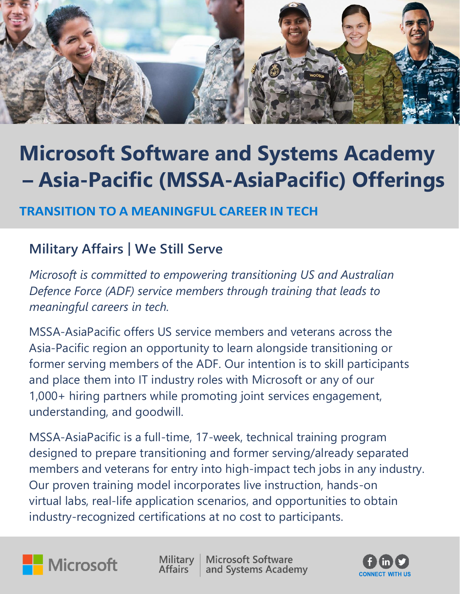

# **Microsoft Software and Systems Academy Microsoft Software and Systems Academy – Asia-Pacific (MSSA-AsiaPacific) Offerings – Asia-Pacific (MSSA-AsiaPacific) Offerings**

## **TRANSITION TO A MEANINGFUL CAREER IN TECH TRANSITION TO A MEANINGFUL CAREER IN TECH**

## **Military Affairs | We Still Serve**

*Microsoft is committed to empowering transitioning US and Australian Defence Force (ADF) service members through training that leads to meaningful careers in tech.*

MSSA-AsiaPacific offers US service members and veterans across the Asia-Pacific region an opportunity to learn alongside transitioning or former serving members of the ADF. Our intention is to skill participants and place them into IT industry roles with Microsoft or any of our 1,000+ hiring partners while promoting joint services engagement, understanding, and goodwill.

MSSA-AsiaPacific is a full-time, 17-week, technical training program designed to prepare transitioning and former serving/already separated members and veterans for entry into high-impact tech jobs in any industry. Our proven training model incorporates live instruction, hands-on virtual labs, real-life application scenarios, and opportunities to obtain industry-recognized certifications at no cost to participants.



Military **Affairs** 

**Microsoft Software** and Systems Academy

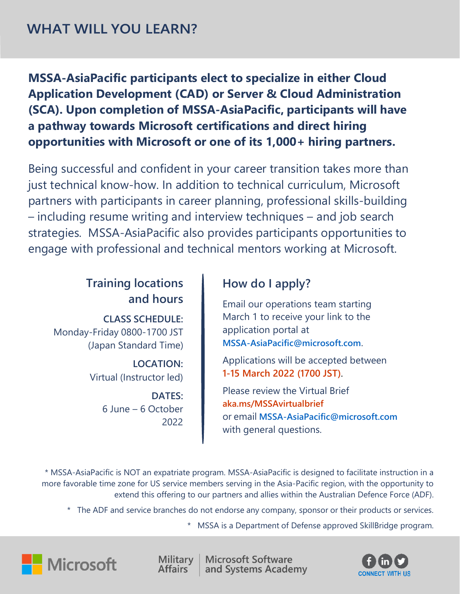**MSSA-AsiaPacific participants elect to specialize in either Cloud Application Development (CAD) or Server & Cloud Administration (SCA). Upon completion of MSSA-AsiaPacific, participants will have a pathway towards Microsoft certifications and direct hiring opportunities with Microsoft or one of its 1,000+ hiring partners.**

Being successful and confident in your career transition takes more than just technical know-how. In addition to technical curriculum, Microsoft partners with participants in career planning, professional skills-building – including resume writing and interview techniques – and job search strategies. MSSA-AsiaPacific also provides participants opportunities to engage with professional and technical mentors working at Microsoft.

### **Training locations and hours**

**CLASS SCHEDULE:** Monday-Friday 0800-1700 JST (Japan Standard Time)

> **LOCATION:** Virtual (Instructor led)

> > **DATES:** 6 June – 6 October 2022

#### **How do I apply?**

Email our operations team starting March 1 to receive your link to the application portal at **[MSSA-AsiaPacific@microsoft.com](mailto:MSSA-AsiaPacific@microsoft.com)**.

Applications will be accepted between **1-15 March 2022 (1700 JST)**.

Please review the Virtual Brief **[aka.ms/MSSAvirtualbrief](http://www.aka.ms/MSSAvirtualbrief)** or email **[MSSA-AsiaPacific@microsoft.com](mailto:MSSA-AsiaPacific@microsoft.com)** with general questions.

\* MSSA-AsiaPacific is NOT an expatriate program. MSSA-AsiaPacific is designed to facilitate instruction in a more favorable time zone for US service members serving in the Asia-Pacific region, with the opportunity to extend this offering to our partners and allies within the Australian Defence Force (ADF).

\* The ADF and service branches do not endorse any company, sponsor or their products or services.

\* MSSA is a Department of Defense approved SkillBridge program.





**Microsoft Software** and Systems Academy